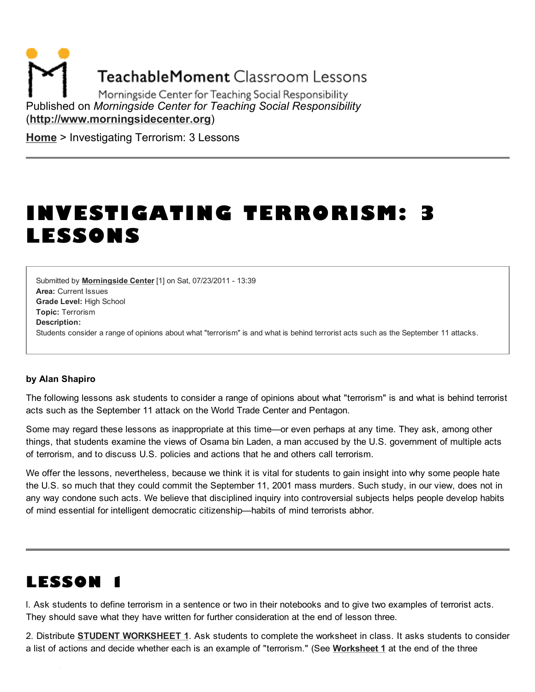**TeachableMoment Classroom Lessons** 

Morningside Center for Teaching Social Responsibility Published on *Morningside Center for Teaching Social Responsibility* [\(http://www.morningsidecenter.org\)](http://www.morningsidecenter.org/)

[Home](http://www.morningsidecenter.org/) > Investigating Terrorism: 3 Lessons

# INVESTIGATING TERRORISM: 3 LESSONS

Area: Current Issues Grade Level: High School Topic: Terrorism Submitted by **[Morningside](http://www.morningsidecenter.org/users/morningside-center) Center** [1] on Sat, 07/23/2011 - 13:39 Description: Students consider a range of opinions about what "terrorism" is and what is behind terrorist acts such as the September 11 attacks.

#### by Alan Shapiro

The following lessons ask students to consider a range of opinions about what "terrorism" is and what is behind terrorist acts such as the September 11 attack on the World Trade Center and Pentagon.

Some may regard these lessons as inappropriate at this time—or even perhaps at any time. They ask, among other things, that students examine the views of Osama bin Laden, a man accused by the U.S. government of multiple acts of terrorism, and to discuss U.S. policies and actions that he and others call terrorism.

We offer the lessons, nevertheless, because we think it is vital for students to gain insight into why some people hate the U.S. so much that they could commit the September 11, 2001 mass murders. Such study, in our view, does not in any way condone such acts. We believe that disciplined inquiry into controversial subjects helps people develop habits of mind essential for intelligent democratic citizenship—habits of mind terrorists abhor.

# LESSON 1

l. Ask students to define terrorism in a sentence or two in their notebooks and to give two examples of terrorist acts. They should save what they have written for further consideration at the end of lesson three.

2. Distribute STUDENT [WORKSHEET](http://www.morningsidecenter.org/print/162#worksheet1) 1. Ask students to complete the worksheet in class. It asks students to consider a list of actions and decide whether each is an example of "terrorism." (See [Worksheet](http://www.morningsidecenter.org/print/162#worksheet1) 1 at the end of the three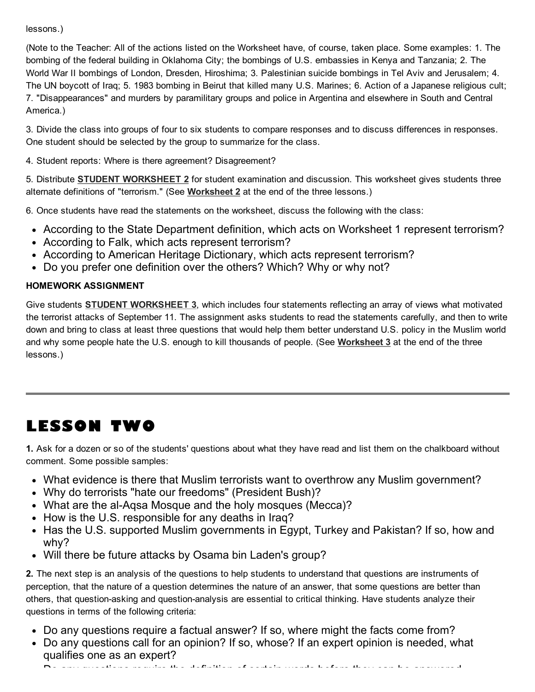lessons.)

(Note to the Teacher: All of the actions listed on the Worksheet have, of course, taken place. Some examples: 1. The bombing of the federal building in Oklahoma City; the bombings of U.S. embassies in Kenya and Tanzania; 2. The World War II bombings of London, Dresden, Hiroshima; 3. Palestinian suicide bombings in Tel Aviv and Jerusalem; 4. The UN boycott of Iraq; 5. 1983 bombing in Beirut that killed many U.S. Marines; 6. Action of a Japanese religious cult; 7. "Disappearances" and murders by paramilitary groups and police in Argentina and elsewhere in South and Central America.)

3. Divide the class into groups of four to six students to compare responses and to discuss differences in responses. One student should be selected by the group to summarize for the class.

4. Student reports: Where is there agreement? Disagreement?

5. Distribute STUDENT [WORKSHEET](http://www.morningsidecenter.org/print/162#worksheet2) 2 for student examination and discussion. This worksheet gives students three alternate definitions of "terrorism." (See [Worksheet](http://www.morningsidecenter.org/print/162#worksheet2) 2 at the end of the three lessons.)

6. Once students have read the statements on the worksheet, discuss the following with the class:

- According to the State Department definition, which acts on Worksheet 1 represent terrorism?
- According to Falk, which acts represent terrorism?
- According to American Heritage Dictionary, which acts represent terrorism?
- Do you prefer one definition over the others? Which? Why or why not?

### HOMEWORK ASSIGNMENT

Give students **STUDENT [WORKSHEET](http://www.morningsidecenter.org/print/162#worksheet3) 3**, which includes four statements reflecting an array of views what motivated the terrorist attacks of September 11. The assignment asks students to read the statements carefully, and then to write down and bring to class at least three questions that would help them better understand U.S. policy in the Muslim world and why some people hate the U.S. enough to kill thousands of people. (See [Worksheet](http://www.morningsidecenter.org/print/162#worksheet3) 3 at the end of the three lessons.)

# LESSON TWO

1. Ask for a dozen or so of the students' questions about what they have read and list them on the chalkboard without comment. Some possible samples:

- What evidence is there that Muslim terrorists want to overthrow any Muslim government?
- Why do terrorists "hate our freedoms" (President Bush)?
- What are the al-Aqsa Mosque and the holy mosques (Mecca)?
- How is the U.S. responsible for any deaths in Iraq?
- Has the U.S. supported Muslim governments in Egypt, Turkey and Pakistan? If so, how and why?
- Will there be future attacks by Osama bin Laden's group?

2. The next step is an analysis of the questions to help students to understand that questions are instruments of perception, that the nature of a question determines the nature of an answer, that some questions are better than others, that question-asking and question-analysis are essential to critical thinking. Have students analyze their questions in terms of the following criteria:

- Do any questions require a factual answer? If so, where might the facts come from?
- Do any questions call for an opinion? If so, whose? If an expert opinion is needed, what  $\bullet$ qualifies one as an expert?

Do any questions require the definition of certain words before they can be answered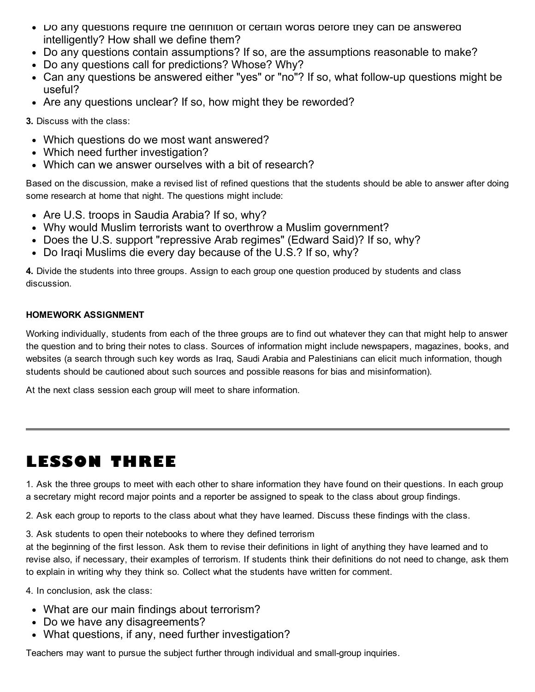- Do any questions require the definition of certain words before they can be answered intelligently? How shall we define them?
- Do any questions contain assumptions? If so, are the assumptions reasonable to make?
- Do any questions call for predictions? Whose? Why?
- Can any questions be answered either "yes" or "no"? If so, what follow-up questions might be useful?
- Are any questions unclear? If so, how might they be reworded?

3. Discuss with the class:

- Which questions do we most want answered?
- Which need further investigation?
- Which can we answer ourselves with a bit of research?

Based on the discussion, make a revised list of refined questions that the students should be able to answer after doing some research at home that night. The questions might include:

- Are U.S. troops in Saudia Arabia? If so, why?
- Why would Muslim terrorists want to overthrow a Muslim government?
- Does the U.S. support "repressive Arab regimes" (Edward Said)? If so, why?
- Do Iraqi Muslims die every day because of the U.S.? If so, why?

4. Divide the students into three groups. Assign to each group one question produced by students and class discussion.

### HOMEWORK ASSIGNMENT

Working individually, students from each of the three groups are to find out whatever they can that might help to answer the question and to bring their notes to class. Sources of information might include newspapers, magazines, books, and websites (a search through such key words as Iraq, Saudi Arabia and Palestinians can elicit much information, though students should be cautioned about such sources and possible reasons for bias and misinformation).

At the next class session each group will meet to share information.

# LESSON THREE

1. Ask the three groups to meet with each other to share information they have found on their questions. In each group a secretary might record major points and a reporter be assigned to speak to the class about group findings.

2. Ask each group to reports to the class about what they have learned. Discuss these findings with the class.

3. Ask students to open their notebooks to where they defined terrorism

at the beginning of the first lesson. Ask them to revise their definitions in light of anything they have learned and to revise also, if necessary, their examples of terrorism. If students think their definitions do not need to change, ask them to explain in writing why they think so. Collect what the students have written for comment.

4. In conclusion, ask the class:

- What are our main findings about terrorism?
- Do we have any disagreements?
- What questions, if any, need further investigation?

Teachers may want to pursue the subject further through individual and small-group inquiries.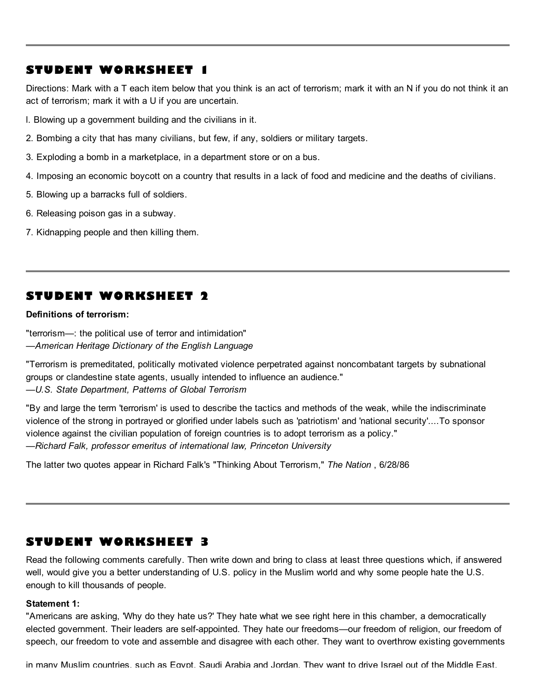# STUDENT WORKSHEET 1

Directions: Mark with a T each item below that you think is an act of terrorism; mark it with an N if you do not think it an act of terrorism; mark it with a U if you are uncertain.

l. Blowing up a government building and the civilians in it.

- 2. Bombing a city that has many civilians, but few, if any, soldiers or military targets.
- 3. Exploding a bomb in a marketplace, in a department store or on a bus.
- 4. Imposing an economic boycott on a country that results in a lack of food and medicine and the deaths of civilians.
- 5. Blowing up a barracks full of soldiers.
- 6. Releasing poison gas in a subway.
- 7. Kidnapping people and then killing them.

### STUDENT WORKSHEET 2

Definitions of terrorism:

"terrorism—: the political use of terror and intimidation" *—American Heritage Dictionary of the English Language*

"Terrorism is premeditated, politically motivated violence perpetrated against noncombatant targets by subnational groups or clandestine state agents, usually intended to influence an audience." *—U.S. State Department, Patterns of Global Terrorism*

"By and large the term 'terrorism' is used to describe the tactics and methods of the weak, while the indiscriminate violence of the strong in portrayed or glorified under labels such as 'patriotism' and 'national security'....To sponsor violence against the civilian population of foreign countries is to adopt terrorism as a policy." *—Richard Falk, professor emeritus of international law, Princeton University*

The latter two quotes appear in Richard Falk's "Thinking About Terrorism," *The Nation* , 6/28/86

# STUDENT WORKSHEET 3

Read the following comments carefully. Then write down and bring to class at least three questions which, if answered well, would give you a better understanding of U.S. policy in the Muslim world and why some people hate the U.S. enough to kill thousands of people.

#### Statement 1:

"Americans are asking, 'Why do they hate us?' They hate what we see right here in this chamber, a democratically elected government. Their leaders are self-appointed. They hate our freedoms—our freedom of religion, our freedom of speech, our freedom to vote and assemble and disagree with each other. They want to overthrow existing governments

in many Muslim countries, such as Egypt, Saudi Arabia and Jordan. They want to drive Israel out of the Middle East.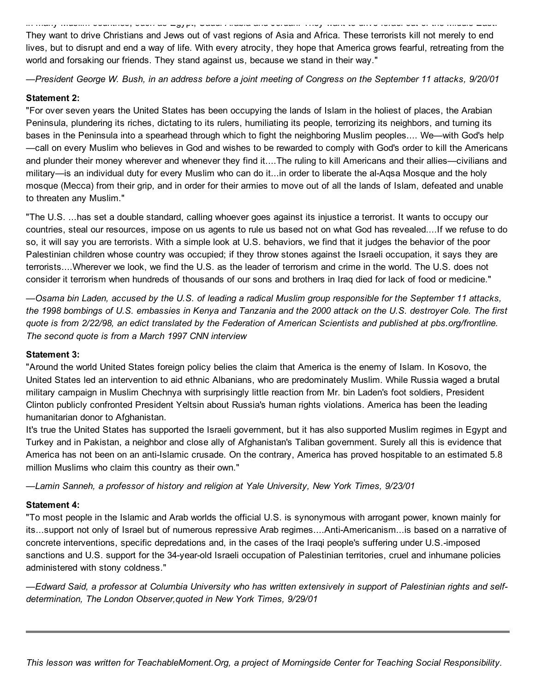in many Muslim countries, such as Egypt, Saudi Arabia and Jordan. They want to drive Israel out of the Middle East. They want to drive Christians and Jews out of vast regions of Asia and Africa. These terrorists kill not merely to end lives, but to disrupt and end a way of life. With every atrocity, they hope that America grows fearful, retreating from the world and forsaking our friends. They stand against us, because we stand in their way."

-President George W. Bush, in an address before a joint meeting of Congress on the September 11 attacks, 9/20/01

#### Statement 2:

"For over seven years the United States has been occupying the lands of Islam in the holiest of places, the Arabian Peninsula, plundering its riches, dictating to its rulers, humiliating its people, terrorizing its neighbors, and turning its bases in the Peninsula into a spearhead through which to fight the neighboring Muslim peoples.... We—with God's help —call on every Muslim who believes in God and wishes to be rewarded to comply with God's order to kill the Americans and plunder their money wherever and whenever they find it....The ruling to kill Americans and their allies—civilians and military—is an individual duty for every Muslim who can do it...in order to liberate the al-Aqsa Mosque and the holy mosque (Mecca) from their grip, and in order for their armies to move out of all the lands of Islam, defeated and unable to threaten any Muslim."

"The U.S. ...has set a double standard, calling whoever goes against its injustice a terrorist. It wants to occupy our countries, steal our resources, impose on us agents to rule us based not on what God has revealed....If we refuse to do so, it will say you are terrorists. With a simple look at U.S. behaviors, we find that it judges the behavior of the poor Palestinian children whose country was occupied; if they throw stones against the Israeli occupation, it says they are terrorists....Wherever we look, we find the U.S. as the leader of terrorism and crime in the world. The U.S. does not consider it terrorism when hundreds of thousands of our sons and brothers in Iraq died for lack of food or medicine."

-Osama bin Laden, accused by the U.S. of leading a radical Muslim group responsible for the September 11 attacks, the 1998 bombings of U.S. embassies in Kenya and Tanzania and the 2000 attack on the U.S. destroyer Cole. The first quote is from 2/22/98, an edict translated by the Federation of American Scientists and published at pbs.org/frontline. *The second quote is from a March 1997 CNN interview*

#### Statement 3:

"Around the world United States foreign policy belies the claim that America is the enemy of Islam. In Kosovo, the United States led an intervention to aid ethnic Albanians, who are predominately Muslim. While Russia waged a brutal military campaign in Muslim Chechnya with surprisingly little reaction from Mr. bin Laden's foot soldiers, President Clinton publicly confronted President Yeltsin about Russia's human rights violations. America has been the leading humanitarian donor to Afghanistan.

It's true the United States has supported the Israeli government, but it has also supported Muslim regimes in Egypt and Turkey and in Pakistan, a neighbor and close ally of Afghanistan's Taliban government. Surely all this is evidence that America has not been on an anti-Islamic crusade. On the contrary, America has proved hospitable to an estimated 5.8 million Muslims who claim this country as their own."

*—Lamin Sanneh, a professor of history and religion at Yale University, New York Times, 9/23/01*

#### Statement 4:

"To most people in the Islamic and Arab worlds the official U.S. is synonymous with arrogant power, known mainly for its...support not only of Israel but of numerous repressive Arab regimes....Anti-Americanism...is based on a narrative of concrete interventions, specific depredations and, in the cases of the Iraqi people's suffering under U.S.-imposed sanctions and U.S. support for the 34-year-old Israeli occupation of Palestinian territories, cruel and inhumane policies administered with stony coldness."

-Edward Said, a professor at Columbia University who has written extensively in support of Palestinian rights and self*determination, The London Observer,quoted in New York Times, 9/29/01*